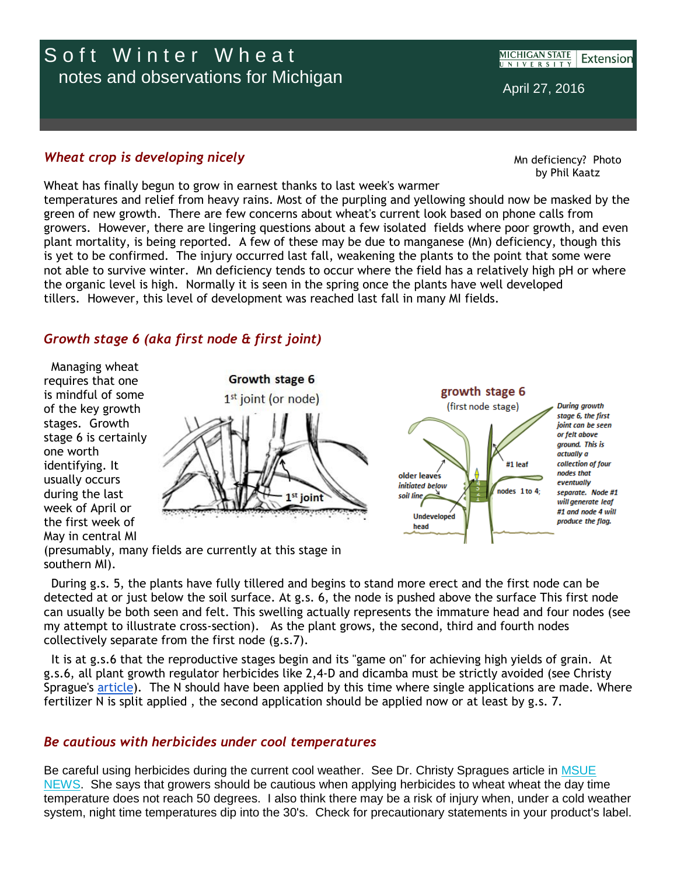# Soft Winter Wheat notes and observations for Michigan

**MICHIGAN STATE** Extension UNIVERSITY

April 27, 2016

### *Wheat crop is developing nicely*

Mn deficiency? Photo by Phil Kaatz

Wheat has finally begun to grow in earnest thanks to last week's warmer temperatures and relief from heavy rains. Most of the purpling and yellowing should now be masked by the green of new growth. There are few concerns about wheat's current look based on phone calls from growers. However, there are lingering questions about a few isolated fields where poor growth, and even plant mortality, is being reported. A few of these may be due to manganese (Mn) deficiency, though this is yet to be confirmed. The injury occurred last fall, weakening the plants to the point that some were not able to survive winter. Mn deficiency tends to occur where the field has a relatively high pH or where the organic level is high. Normally it is seen in the spring once the plants have well developed tillers. However, this level of development was reached last fall in many MI fields.

## *Growth stage 6 (aka first node & first joint)*

Managing wheat requires that one is mindful of some of the key growth stages. Growth stage 6 is certainly one worth identifying. It usually occurs during the last week of April or the first week of May in central MI





(presumably, many fields are currently at this stage in southern MI).

During g.s. 5, the plants have fully tillered and begins to stand more erect and the first node can be detected at or just below the soil surface. At g.s. 6, the node is pushed above the surface This first node can usually be both seen and felt. This swelling actually represents the immature head and four nodes (see my attempt to illustrate cross-section). As the plant grows, the second, third and fourth nodes collectively separate from the first node (g.s.7).

It is at g.s.6 that the reproductive stages begin and its "game on" for achieving high yields of grain. At g.s.6, all plant growth regulator herbicides like 2,4-D and dicamba must be strictly avoided (see Christy Sprague's [article\)](http://r20.rs6.net/tn.jsp?f=001v8Nv9ggCUmtFG5s98CmXgmH6ryDyBHU8V89HIZCVJoJtotVLvhSKamrFpZtDLuG1g6rtR_misK7gZzK3mKOvNYGQ3FlQDyCu_dVn6VztRuMmeSGYy29WrdYL1PxQVq8IGvY4r9gaMwsvlFP6VfhQxRNSL5IeZrfTsY2PG-RbJKWPizjZeScb8AKnJ3eE09FzmeWOeNCUAGZxnI3T1r12eNVOO9rXM41cEa5Kx6awwkmpJ8eBV5Of5Cdnno5sDJY894i_cfcCenPBwXg7hGpqIg==&c=UXEQ-63EAVHNWciug6og10eri5J7Q4W6jK6G_zsDvb0yzFysMkJQRA==&ch=YY5HsR-Jixy7CdOh-t0FNzG7TapbucRdZ9s-wtRwhtWfok1YgXrfRQ==). The N should have been applied by this time where single applications are made. Where fertilizer N is split applied , the second application should be applied now or at least by g.s. 7.

## *Be cautious with herbicides under cool temperatures*

Be careful using herbicides during the current cool weather. See Dr. Christy Spragues article in [MSUE](http://r20.rs6.net/tn.jsp?f=001v8Nv9ggCUmtFG5s98CmXgmH6ryDyBHU8V89HIZCVJoJtotVLvhSKamrFpZtDLuG1g6rtR_misK7gZzK3mKOvNYGQ3FlQDyCu_dVn6VztRuMmeSGYy29WrdYL1PxQVq8IGvY4r9gaMwsvlFP6VfhQxRNSL5IeZrfTsY2PG-RbJKWPizjZeScb8AKnJ3eE09FzmeWOeNCUAGZxnI3T1r12eNVOO9rXM41cEa5Kx6awwkmpJ8eBV5Of5Cdnno5sDJY894i_cfcCenPBwXg7hGpqIg==&c=UXEQ-63EAVHNWciug6og10eri5J7Q4W6jK6G_zsDvb0yzFysMkJQRA==&ch=YY5HsR-Jixy7CdOh-t0FNzG7TapbucRdZ9s-wtRwhtWfok1YgXrfRQ==)  [NEWS.](http://r20.rs6.net/tn.jsp?f=001v8Nv9ggCUmtFG5s98CmXgmH6ryDyBHU8V89HIZCVJoJtotVLvhSKamrFpZtDLuG1g6rtR_misK7gZzK3mKOvNYGQ3FlQDyCu_dVn6VztRuMmeSGYy29WrdYL1PxQVq8IGvY4r9gaMwsvlFP6VfhQxRNSL5IeZrfTsY2PG-RbJKWPizjZeScb8AKnJ3eE09FzmeWOeNCUAGZxnI3T1r12eNVOO9rXM41cEa5Kx6awwkmpJ8eBV5Of5Cdnno5sDJY894i_cfcCenPBwXg7hGpqIg==&c=UXEQ-63EAVHNWciug6og10eri5J7Q4W6jK6G_zsDvb0yzFysMkJQRA==&ch=YY5HsR-Jixy7CdOh-t0FNzG7TapbucRdZ9s-wtRwhtWfok1YgXrfRQ==) She says that growers should be cautious when applying herbicides to wheat wheat the day time temperature does not reach 50 degrees. I also think there may be a risk of injury when, under a cold weather system, night time temperatures dip into the 30's. Check for precautionary statements in your product's label.